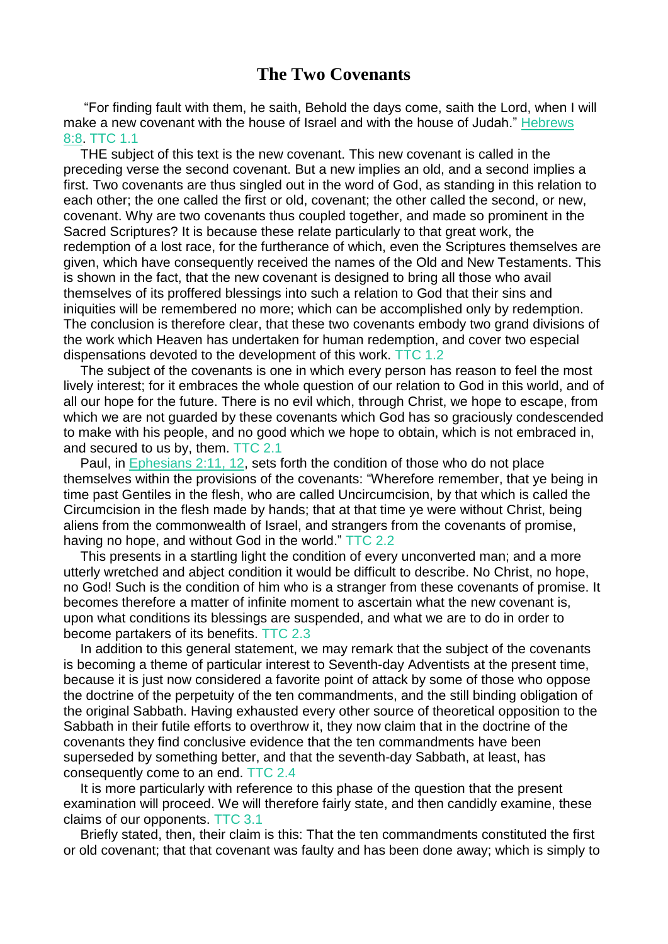## **The Two Covenants**

"For finding fault with them, he saith, Behold the days come, saith the Lord, when I will make a new covenant with the house of Israel and with the house of Judah." [Hebrews](https://m.egwwritings.org/en/book/1965.61402#61402) [8:8.](https://m.egwwritings.org/en/book/1965.61402#61402) TTC 1.1

THE subject of this text is the new covenant. This new covenant is called in the preceding verse the second covenant. But a new implies an old, and a second implies a first. Two covenants are thus singled out in the word of God, as standing in this relation to each other; the one called the first or old, covenant; the other called the second, or new, covenant. Why are two covenants thus coupled together, and made so prominent in the Sacred Scriptures? It is because these relate particularly to that great work, the redemption of a lost race, for the furtherance of which, even the Scriptures themselves are given, which have consequently received the names of the Old and New Testaments. This is shown in the fact, that the new covenant is designed to bring all those who avail themselves of its proffered blessings into such a relation to God that their sins and iniquities will be remembered no more; which can be accomplished only by redemption. The conclusion is therefore clear, that these two covenants embody two grand divisions of the work which Heaven has undertaken for human redemption, and cover two especial dispensations devoted to the development of this work. TTC 1.2

The subject of the covenants is one in which every person has reason to feel the most lively interest; for it embraces the whole question of our relation to God in this world, and of all our hope for the future. There is no evil which, through Christ, we hope to escape, from which we are not guarded by these covenants which God has so graciously condescended to make with his people, and no good which we hope to obtain, which is not embraced in, and secured to us by, them. TTC 2.1

Paul, in [Ephesians](https://m.egwwritings.org/en/book/1965.59631#59631) 2:11, 12, sets forth the condition of those who do not place themselves within the provisions of the covenants: "Wherefore remember, that ye being in time past Gentiles in the flesh, who are called Uncircumcision, by that which is called the Circumcision in the flesh made by hands; that at that time ye were without Christ, being aliens from the commonwealth of Israel, and strangers from the covenants of promise, having no hope, and without God in the world." TTC 2.2

This presents in a startling light the condition of every unconverted man; and a more utterly wretched and abject condition it would be difficult to describe. No Christ, no hope, no God! Such is the condition of him who is a stranger from these covenants of promise. It becomes therefore a matter of infinite moment to ascertain what the new covenant is, upon what conditions its blessings are suspended, and what we are to do in order to become partakers of its benefits. TTC 2.3

In addition to this general statement, we may remark that the subject of the covenants is becoming a theme of particular interest to Seventh-day Adventists at the present time, because it is just now considered a favorite point of attack by some of those who oppose the doctrine of the perpetuity of the ten commandments, and the still binding obligation of the original Sabbath. Having exhausted every other source of theoretical opposition to the Sabbath in their futile efforts to overthrow it, they now claim that in the doctrine of the covenants they find conclusive evidence that the ten commandments have been superseded by something better, and that the seventh-day Sabbath, at least, has consequently come to an end. TTC 2.4

It is more particularly with reference to this phase of the question that the present examination will proceed. We will therefore fairly state, and then candidly examine, these claims of our opponents. TTC 3.1

Briefly stated, then, their claim is this: That the ten commandments constituted the first or old covenant; that that covenant was faulty and has been done away; which is simply to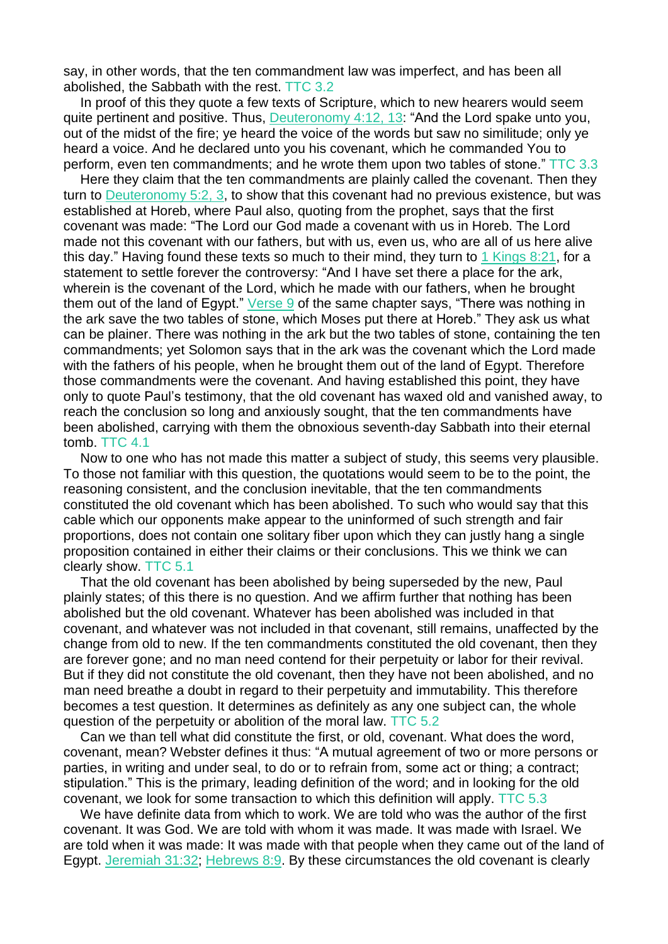say, in other words, that the ten commandment law was imperfect, and has been all abolished, the Sabbath with the rest. TTC 3.2

In proof of this they quote a few texts of Scripture, which to new hearers would seem quite pertinent and positive. Thus, [Deuteronomy](https://m.egwwritings.org/en/book/1965.10197#10197) 4:12, 13: "And the Lord spake unto you, out of the midst of the fire; ye heard the voice of the words but saw no similitude; only ye heard a voice. And he declared unto you his covenant, which he commanded You to perform, even ten commandments; and he wrote them upon two tables of stone." TTC 3.3

Here they claim that the ten commandments are plainly called the covenant. Then they turn to **[Deuteronomy](https://m.egwwritings.org/en/book/1965.10276#10276) 5:2, 3**, to show that this covenant had no previous existence, but was established at Horeb, where Paul also, quoting from the prophet, says that the first covenant was made: "The Lord our God made a covenant with us in Horeb. The Lord made not this covenant with our fathers, but with us, even us, who are all of us here alive this day." Having found these texts so much to their mind, they turn to 1 [Kings](https://m.egwwritings.org/en/book/1965.18325#18325) 8:21, for a statement to settle forever the controversy: "And I have set there a place for the ark, wherein is the covenant of the Lord, which he made with our fathers, when he brought them out of the land of Egypt." [Verse](https://m.egwwritings.org/en/book/1965.18301#18301) 9 of the same chapter says, "There was nothing in the ark save the two tables of stone, which Moses put there at Horeb." They ask us what can be plainer. There was nothing in the ark but the two tables of stone, containing the ten commandments; yet Solomon says that in the ark was the covenant which the Lord made with the fathers of his people, when he brought them out of the land of Egypt. Therefore those commandments were the covenant. And having established this point, they have only to quote Paul's testimony, that the old covenant has waxed old and vanished away, to reach the conclusion so long and anxiously sought, that the ten commandments have been abolished, carrying with them the obnoxious seventh-day Sabbath into their eternal tomb. TTC 4.1

Now to one who has not made this matter a subject of study, this seems very plausible. To those not familiar with this question, the quotations would seem to be to the point, the reasoning consistent, and the conclusion inevitable, that the ten commandments constituted the old covenant which has been abolished. To such who would say that this cable which our opponents make appear to the uninformed of such strength and fair proportions, does not contain one solitary fiber upon which they can justly hang a single proposition contained in either their claims or their conclusions. This we think we can clearly show. TTC 5.1

That the old covenant has been abolished by being superseded by the new, Paul plainly states; of this there is no question. And we affirm further that nothing has been abolished but the old covenant. Whatever has been abolished was included in that covenant, and whatever was not included in that covenant, still remains, unaffected by the change from old to new. If the ten commandments constituted the old covenant, then they are forever gone; and no man need contend for their perpetuity or labor for their revival. But if they did not constitute the old covenant, then they have not been abolished, and no man need breathe a doubt in regard to their perpetuity and immutability. This therefore becomes a test question. It determines as definitely as any one subject can, the whole question of the perpetuity or abolition of the moral law. TTC 5.2

Can we than tell what did constitute the first, or old, covenant. What does the word, covenant, mean? Webster defines it thus: "A mutual agreement of two or more persons or parties, in writing and under seal, to do or to refrain from, some act or thing; a contract; stipulation." This is the primary, leading definition of the word; and in looking for the old covenant, we look for some transaction to which this definition will apply. TTC 5.3

We have definite data from which to work. We are told who was the author of the first covenant. It was God. We are told with whom it was made. It was made with Israel. We are told when it was made: It was made with that people when they came out of the land of Egypt. [Jeremiah](https://m.egwwritings.org/en/book/1965.40249#40249) 31:32; [Hebrews](https://m.egwwritings.org/en/book/1965.61404#61404) 8:9. By these circumstances the old covenant is clearly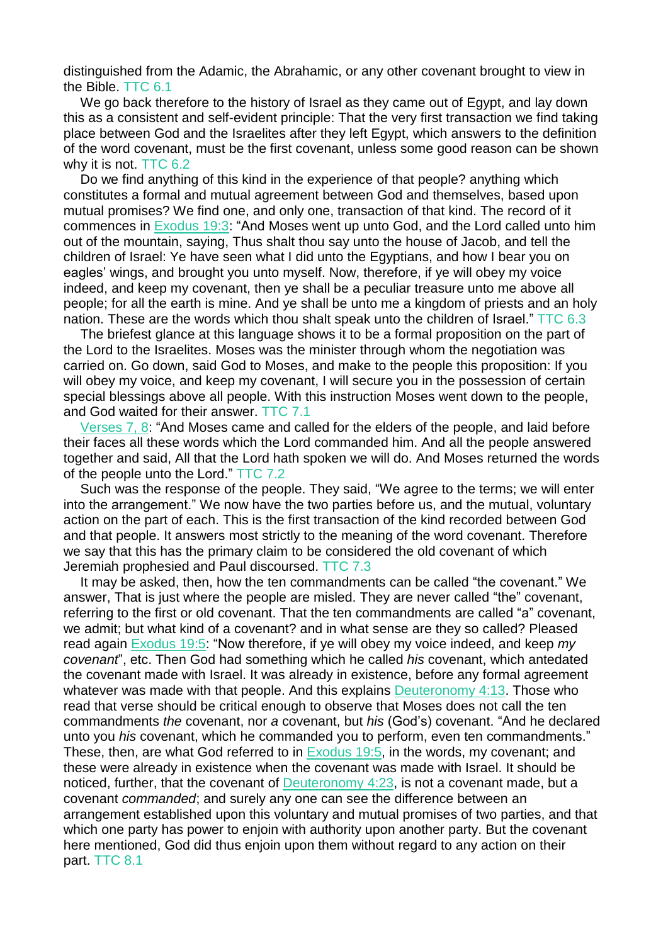distinguished from the Adamic, the Abrahamic, or any other covenant brought to view in the Bible. TTC 6.1

We go back therefore to the history of Israel as they came out of Egypt, and lay down this as a consistent and self-evident principle: That the very first transaction we find taking place between God and the Israelites after they left Egypt, which answers to the definition of the word covenant, must be the first covenant, unless some good reason can be shown why it is not. TTC 6.2

Do we find anything of this kind in the experience of that people? anything which constitutes a formal and mutual agreement between God and themselves, based upon mutual promises? We find one, and only one, transaction of that kind. The record of it commences in [Exodus](https://m.egwwritings.org/en/book/1965.4132#4132) 19:3: "And Moses went up unto God, and the Lord called unto him out of the mountain, saying, Thus shalt thou say unto the house of Jacob, and tell the children of Israel: Ye have seen what I did unto the Egyptians, and how I bear you on eagles' wings, and brought you unto myself. Now, therefore, if ye will obey my voice indeed, and keep my covenant, then ye shall be a peculiar treasure unto me above all people; for all the earth is mine. And ye shall be unto me a kingdom of priests and an holy nation. These are the words which thou shalt speak unto the children of Israel." TTC 6.3

The briefest glance at this language shows it to be a formal proposition on the part of the Lord to the Israelites. Moses was the minister through whom the negotiation was carried on. Go down, said God to Moses, and make to the people this proposition: If you will obey my voice, and keep my covenant, I will secure you in the possession of certain special blessings above all people. With this instruction Moses went down to the people, and God waited for their answer. TTC 7.1

[Verses](https://m.egwwritings.org/en/book/1965.4140#4140) 7, 8: "And Moses came and called for the elders of the people, and laid before their faces all these words which the Lord commanded him. And all the people answered together and said, All that the Lord hath spoken we will do. And Moses returned the words of the people unto the Lord." TTC 7.2

Such was the response of the people. They said, "We agree to the terms; we will enter into the arrangement." We now have the two parties before us, and the mutual, voluntary action on the part of each. This is the first transaction of the kind recorded between God and that people. It answers most strictly to the meaning of the word covenant. Therefore we say that this has the primary claim to be considered the old covenant of which Jeremiah prophesied and Paul discoursed. TTC 7.3

It may be asked, then, how the ten commandments can be called "the covenant." We answer, That is just where the people are misled. They are never called "the" covenant, referring to the first or old covenant. That the ten commandments are called "a" covenant, we admit; but what kind of a covenant? and in what sense are they so called? Pleased read again [Exodus](https://m.egwwritings.org/en/book/1965.4136#4136) 19:5: "Now therefore, if ye will obey my voice indeed, and keep *my covenant*", etc. Then God had something which he called *his* covenant, which antedated the covenant made with Israel. It was already in existence, before any formal agreement whatever was made with that people. And this explains [Deuteronomy](https://m.egwwritings.org/en/book/1965.10199#10199) 4:13. Those who read that verse should be critical enough to observe that Moses does not call the ten commandments *the* covenant, nor *a* covenant, but *his* (God's) covenant. "And he declared unto you *his* covenant, which he commanded you to perform, even ten commandments." These, then, are what God referred to in **[Exodus](https://m.egwwritings.org/en/book/1965.4136#4136) 19:5**, in the words, my covenant; and these were already in existence when the covenant was made with Israel. It should be noticed, further, that the covenant of [Deuteronomy](https://m.egwwritings.org/en/book/1965.10219#10219) 4:23, is not a covenant made, but a covenant *commanded*; and surely any one can see the difference between an arrangement established upon this voluntary and mutual promises of two parties, and that which one party has power to enjoin with authority upon another party. But the covenant here mentioned, God did thus enjoin upon them without regard to any action on their part. TTC 8.1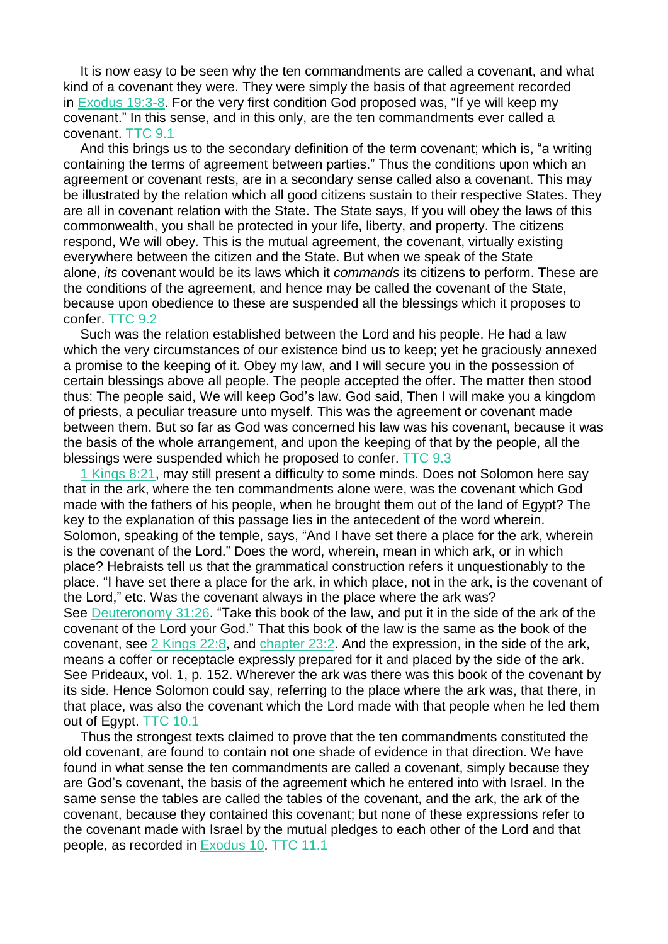It is now easy to be seen why the ten commandments are called a covenant, and what kind of a covenant they were. They were simply the basis of that agreement recorded in [Exodus](https://m.egwwritings.org/en/book/1965.4132#4132) 19:3-8. For the very first condition God proposed was, "If ye will keep my covenant." In this sense, and in this only, are the ten commandments ever called a covenant. TTC 9.1

And this brings us to the secondary definition of the term covenant; which is, "a writing containing the terms of agreement between parties." Thus the conditions upon which an agreement or covenant rests, are in a secondary sense called also a covenant. This may be illustrated by the relation which all good citizens sustain to their respective States. They are all in covenant relation with the State. The State says, If you will obey the laws of this commonwealth, you shall be protected in your life, liberty, and property. The citizens respond, We will obey. This is the mutual agreement, the covenant, virtually existing everywhere between the citizen and the State. But when we speak of the State alone, *its* covenant would be its laws which it *commands* its citizens to perform. These are the conditions of the agreement, and hence may be called the covenant of the State, because upon obedience to these are suspended all the blessings which it proposes to confer. TTC 9.2

Such was the relation established between the Lord and his people. He had a law which the very circumstances of our existence bind us to keep; yet he graciously annexed a promise to the keeping of it. Obey my law, and I will secure you in the possession of certain blessings above all people. The people accepted the offer. The matter then stood thus: The people said, We will keep God's law. God said, Then I will make you a kingdom of priests, a peculiar treasure unto myself. This was the agreement or covenant made between them. But so far as God was concerned his law was his covenant, because it was the basis of the whole arrangement, and upon the keeping of that by the people, all the blessings were suspended which he proposed to confer. TTC 9.3

1 [Kings](https://m.egwwritings.org/en/book/1965.18325#18325) 8:21, may still present a difficulty to some minds. Does not Solomon here say that in the ark, where the ten commandments alone were, was the covenant which God made with the fathers of his people, when he brought them out of the land of Egypt? The key to the explanation of this passage lies in the antecedent of the word wherein. Solomon, speaking of the temple, says, "And I have set there a place for the ark, wherein is the covenant of the Lord." Does the word, wherein, mean in which ark, or in which place? Hebraists tell us that the grammatical construction refers it unquestionably to the place. "I have set there a place for the ark, in which place, not in the ark, is the covenant of the Lord," etc. Was the covenant always in the place where the ark was? See [Deuteronomy](https://m.egwwritings.org/en/book/1965.11700#11700) 31:26. "Take this book of the law, and put it in the side of the ark of the covenant of the Lord your God." That this book of the law is the same as the book of the covenant, see 2 [Kings](https://m.egwwritings.org/en/book/1965.20656#20656) 22:8, and [chapter](https://m.egwwritings.org/en/book/1965.20685#20685) 23:2. And the expression, in the side of the ark, means a coffer or receptacle expressly prepared for it and placed by the side of the ark. See Prideaux, vol. 1, p. 152. Wherever the ark was there was this book of the covenant by its side. Hence Solomon could say, referring to the place where the ark was, that there, in that place, was also the covenant which the Lord made with that people when he led them out of Egypt. TTC 10.1

Thus the strongest texts claimed to prove that the ten commandments constituted the old covenant, are found to contain not one shade of evidence in that direction. We have found in what sense the ten commandments are called a covenant, simply because they are God's covenant, the basis of the agreement which he entered into with Israel. In the same sense the tables are called the tables of the covenant, and the ark, the ark of the covenant, because they contained this covenant; but none of these expressions refer to the covenant made with Israel by the mutual pledges to each other of the Lord and that people, as recorded in [Exodus](https://m.egwwritings.org/en/book/1965.3621#3621) 10. TTC 11.1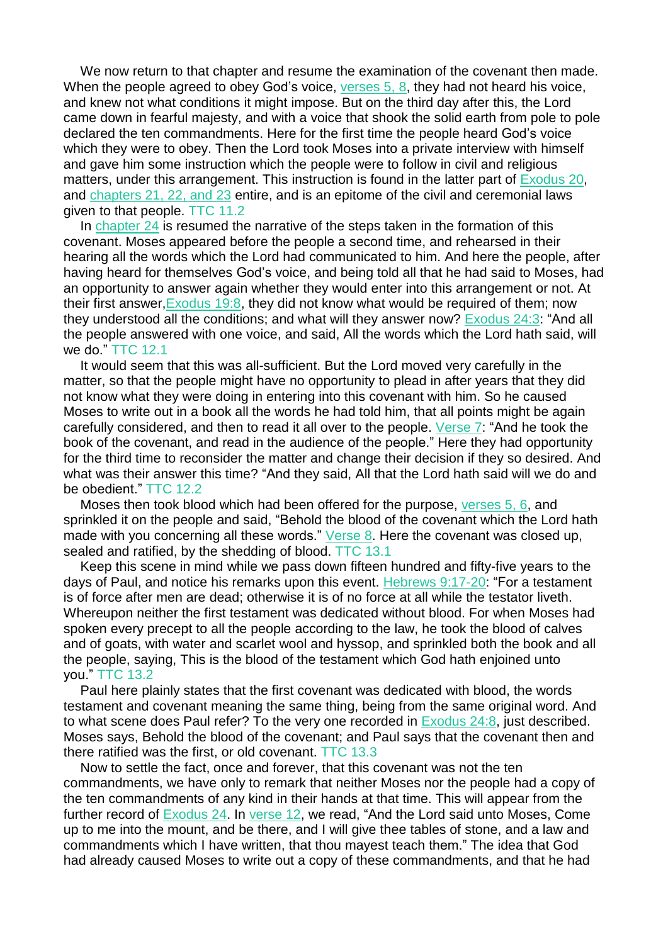We now return to that chapter and resume the examination of the covenant then made. When the people agreed to obey God's voice, [verses](https://m.egwwritings.org/en/book/1965.3621#3621) 5, 8, they had not heard his voice, and knew not what conditions it might impose. But on the third day after this, the Lord came down in fearful majesty, and with a voice that shook the solid earth from pole to pole declared the ten commandments. Here for the first time the people heard God's voice which they were to obey. Then the Lord took Moses into a private interview with himself and gave him some instruction which the people were to follow in civil and religious matters, under this arrangement. This instruction is found in the latter part of [Exodus](https://m.egwwritings.org/en/book/1965.4179#4179) 20, and [chapters](https://m.egwwritings.org/en/book/1965.4232#4232) 21, 22, and 23 entire, and is an epitome of the civil and ceremonial laws given to that people. TTC 11.2

In [chapter](https://m.egwwritings.org/en/book/1965.4435#4435) 24 is resumed the narrative of the steps taken in the formation of this covenant. Moses appeared before the people a second time, and rehearsed in their hearing all the words which the Lord had communicated to him. And here the people, after having heard for themselves God's voice, and being told all that he had said to Moses, had an opportunity to answer again whether they would enter into this arrangement or not. At their first answer[,Exodus](https://m.egwwritings.org/en/book/1965.4142#4142) 19:8, they did not know what would be required of them; now they understood all the conditions; and what will they answer now? [Exodus](https://m.egwwritings.org/en/book/1965.4439#4439) 24:3: "And all the people answered with one voice, and said, All the words which the Lord hath said, will we do." TTC 12.1

It would seem that this was all-sufficient. But the Lord moved very carefully in the matter, so that the people might have no opportunity to plead in after years that they did not know what they were doing in entering into this covenant with him. So he caused Moses to write out in a book all the words he had told him, that all points might be again carefully considered, and then to read it all over to the people. [Verse](https://m.egwwritings.org/en/book/1965.4447#4447) 7: "And he took the book of the covenant, and read in the audience of the people." Here they had opportunity for the third time to reconsider the matter and change their decision if they so desired. And what was their answer this time? "And they said, All that the Lord hath said will we do and be obedient." TTC 12.2

Moses then took blood which had been offered for the purpose, [verses](https://m.egwwritings.org/en/book/1965.4443#4443) 5, 6, and sprinkled it on the people and said, "Behold the blood of the covenant which the Lord hath made with you concerning all these words." [Verse](https://m.egwwritings.org/en/book/1965.4449#4449) 8. Here the covenant was closed up, sealed and ratified, by the shedding of blood. TTC 13.1

Keep this scene in mind while we pass down fifteen hundred and fifty-five years to the days of Paul, and notice his remarks upon this event. [Hebrews](https://m.egwwritings.org/en/book/1965.61447#61447) 9:17-20: "For a testament is of force after men are dead; otherwise it is of no force at all while the testator liveth. Whereupon neither the first testament was dedicated without blood. For when Moses had spoken every precept to all the people according to the law, he took the blood of calves and of goats, with water and scarlet wool and hyssop, and sprinkled both the book and all the people, saying, This is the blood of the testament which God hath enjoined unto you." TTC 13.2

Paul here plainly states that the first covenant was dedicated with blood, the words testament and covenant meaning the same thing, being from the same original word. And to what scene does Paul refer? To the very one recorded in [Exodus](https://m.egwwritings.org/en/book/1965.4449#4449) 24:8, just described. Moses says, Behold the blood of the covenant; and Paul says that the covenant then and there ratified was the first, or old covenant. TTC 13.3

Now to settle the fact, once and forever, that this covenant was not the ten commandments, we have only to remark that neither Moses nor the people had a copy of the ten commandments of any kind in their hands at that time. This will appear from the further record of [Exodus](https://m.egwwritings.org/en/book/1965.4435#4435) 24. In [verse](https://m.egwwritings.org/en/book/1965.4457#4457) 12, we read, "And the Lord said unto Moses, Come up to me into the mount, and be there, and I will give thee tables of stone, and a law and commandments which I have written, that thou mayest teach them." The idea that God had already caused Moses to write out a copy of these commandments, and that he had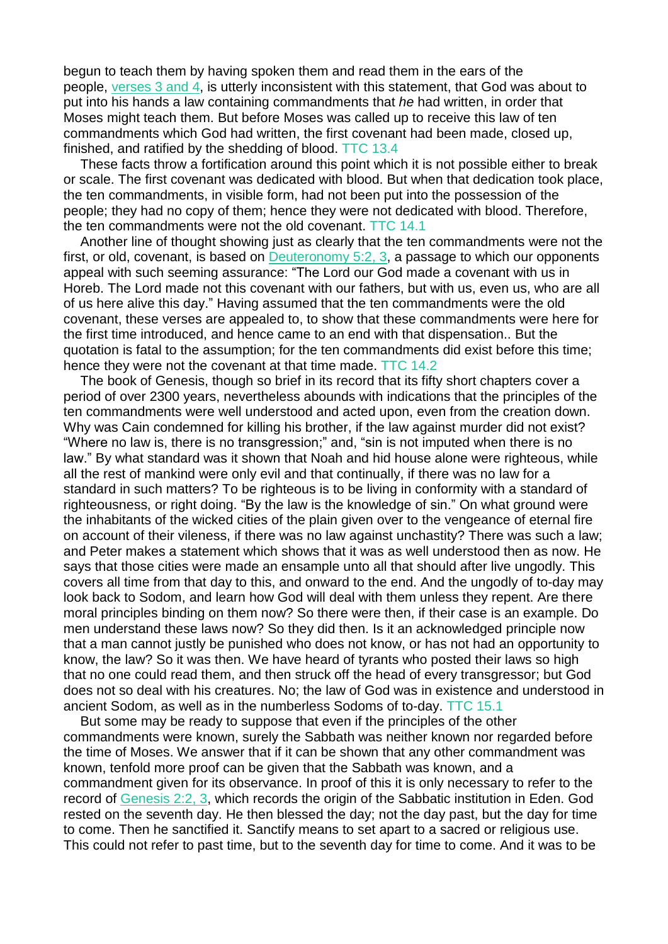begun to teach them by having spoken them and read them in the ears of the people, [verses](https://m.egwwritings.org/en/book/1965.4439#4439) 3 and 4, is utterly inconsistent with this statement, that God was about to put into his hands a law containing commandments that *he* had written, in order that Moses might teach them. But before Moses was called up to receive this law of ten commandments which God had written, the first covenant had been made, closed up, finished, and ratified by the shedding of blood. TTC 13.4

These facts throw a fortification around this point which it is not possible either to break or scale. The first covenant was dedicated with blood. But when that dedication took place, the ten commandments, in visible form, had not been put into the possession of the people; they had no copy of them; hence they were not dedicated with blood. Therefore, the ten commandments were not the old covenant. TTC 14.1

Another line of thought showing just as clearly that the ten commandments were not the first, or old, covenant, is based on  $D$ euteronomy  $5:2, 3$ , a passage to which our opponents appeal with such seeming assurance: "The Lord our God made a covenant with us in Horeb. The Lord made not this covenant with our fathers, but with us, even us, who are all of us here alive this day." Having assumed that the ten commandments were the old covenant, these verses are appealed to, to show that these commandments were here for the first time introduced, and hence came to an end with that dispensation.. But the quotation is fatal to the assumption; for the ten commandments did exist before this time; hence they were not the covenant at that time made. TTC 14.2

The book of Genesis, though so brief in its record that its fifty short chapters cover a period of over 2300 years, nevertheless abounds with indications that the principles of the ten commandments were well understood and acted upon, even from the creation down. Why was Cain condemned for killing his brother, if the law against murder did not exist? "Where no law is, there is no transgression;" and, "sin is not imputed when there is no law." By what standard was it shown that Noah and hid house alone were righteous, while all the rest of mankind were only evil and that continually, if there was no law for a standard in such matters? To be righteous is to be living in conformity with a standard of righteousness, or right doing. "By the law is the knowledge of sin." On what ground were the inhabitants of the wicked cities of the plain given over to the vengeance of eternal fire on account of their vileness, if there was no law against unchastity? There was such a law; and Peter makes a statement which shows that it was as well understood then as now. He says that those cities were made an ensample unto all that should after live ungodly. This covers all time from that day to this, and onward to the end. And the ungodly of to-day may look back to Sodom, and learn how God will deal with them unless they repent. Are there moral principles binding on them now? So there were then, if their case is an example. Do men understand these laws now? So they did then. Is it an acknowledged principle now that a man cannot justly be punished who does not know, or has not had an opportunity to know, the law? So it was then. We have heard of tyrants who posted their laws so high that no one could read them, and then struck off the head of every transgressor; but God does not so deal with his creatures. No; the law of God was in existence and understood in ancient Sodom, as well as in the numberless Sodoms of to-day. TTC 15.1

But some may be ready to suppose that even if the principles of the other commandments were known, surely the Sabbath was neither known nor regarded before the time of Moses. We answer that if it can be shown that any other commandment was known, tenfold more proof can be given that the Sabbath was known, and a commandment given for its observance. In proof of this it is only necessary to refer to the record of [Genesis](https://m.egwwritings.org/en/book/1965.70#70) 2:2, 3, which records the origin of the Sabbatic institution in Eden. God rested on the seventh day. He then blessed the day; not the day past, but the day for time to come. Then he sanctified it. Sanctify means to set apart to a sacred or religious use. This could not refer to past time, but to the seventh day for time to come. And it was to be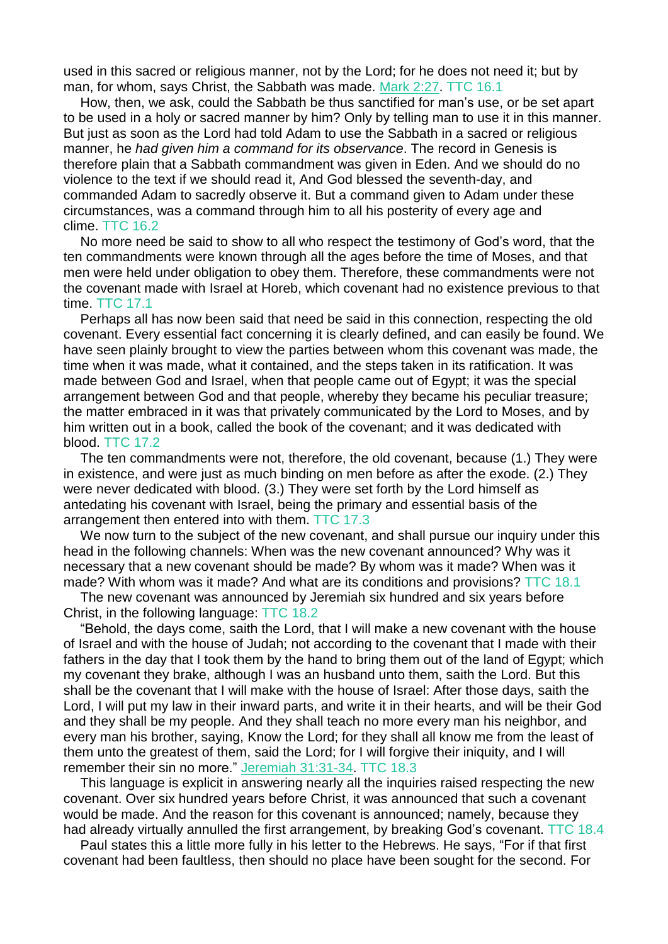used in this sacred or religious manner, not by the Lord; for he does not need it; but by man, for whom, says Christ, the Sabbath was made. [Mark](https://m.egwwritings.org/en/book/1965.49577#49577) 2:27. TTC 16.1

How, then, we ask, could the Sabbath be thus sanctified for man's use, or be set apart to be used in a holy or sacred manner by him? Only by telling man to use it in this manner. But just as soon as the Lord had told Adam to use the Sabbath in a sacred or religious manner, he *had given him a command for its observance*. The record in Genesis is therefore plain that a Sabbath commandment was given in Eden. And we should do no violence to the text if we should read it, And God blessed the seventh-day, and commanded Adam to sacredly observe it. But a command given to Adam under these circumstances, was a command through him to all his posterity of every age and clime. TTC 16.2

No more need be said to show to all who respect the testimony of God's word, that the ten commandments were known through all the ages before the time of Moses, and that men were held under obligation to obey them. Therefore, these commandments were not the covenant made with Israel at Horeb, which covenant had no existence previous to that time. TTC 17.1

Perhaps all has now been said that need be said in this connection, respecting the old covenant. Every essential fact concerning it is clearly defined, and can easily be found. We have seen plainly brought to view the parties between whom this covenant was made, the time when it was made, what it contained, and the steps taken in its ratification. It was made between God and Israel, when that people came out of Egypt; it was the special arrangement between God and that people, whereby they became his peculiar treasure; the matter embraced in it was that privately communicated by the Lord to Moses, and by him written out in a book, called the book of the covenant; and it was dedicated with blood. TTC 17.2

The ten commandments were not, therefore, the old covenant, because (1.) They were in existence, and were just as much binding on men before as after the exode. (2.) They were never dedicated with blood. (3.) They were set forth by the Lord himself as antedating his covenant with Israel, being the primary and essential basis of the arrangement then entered into with them. TTC 17.3

We now turn to the subject of the new covenant, and shall pursue our inquiry under this head in the following channels: When was the new covenant announced? Why was it necessary that a new covenant should be made? By whom was it made? When was it made? With whom was it made? And what are its conditions and provisions? TTC 18.1

The new covenant was announced by Jeremiah six hundred and six years before Christ, in the following language: TTC 18.2

"Behold, the days come, saith the Lord, that I will make a new covenant with the house of Israel and with the house of Judah; not according to the covenant that I made with their fathers in the day that I took them by the hand to bring them out of the land of Egypt; which my covenant they brake, although I was an husband unto them, saith the Lord. But this shall be the covenant that I will make with the house of Israel: After those days, saith the Lord, I will put my law in their inward parts, and write it in their hearts, and will be their God and they shall be my people. And they shall teach no more every man his neighbor, and every man his brother, saying, Know the Lord; for they shall all know me from the least of them unto the greatest of them, said the Lord; for I will forgive their iniquity, and I will remember their sin no more." Jeremiah [31:31-34.](https://m.egwwritings.org/en/book/1965.40247#40247) TTC 18.3

This language is explicit in answering nearly all the inquiries raised respecting the new covenant. Over six hundred years before Christ, it was announced that such a covenant would be made. And the reason for this covenant is announced; namely, because they had already virtually annulled the first arrangement, by breaking God's covenant. TTC 18.4

Paul states this a little more fully in his letter to the Hebrews. He says, "For if that first covenant had been faultless, then should no place have been sought for the second. For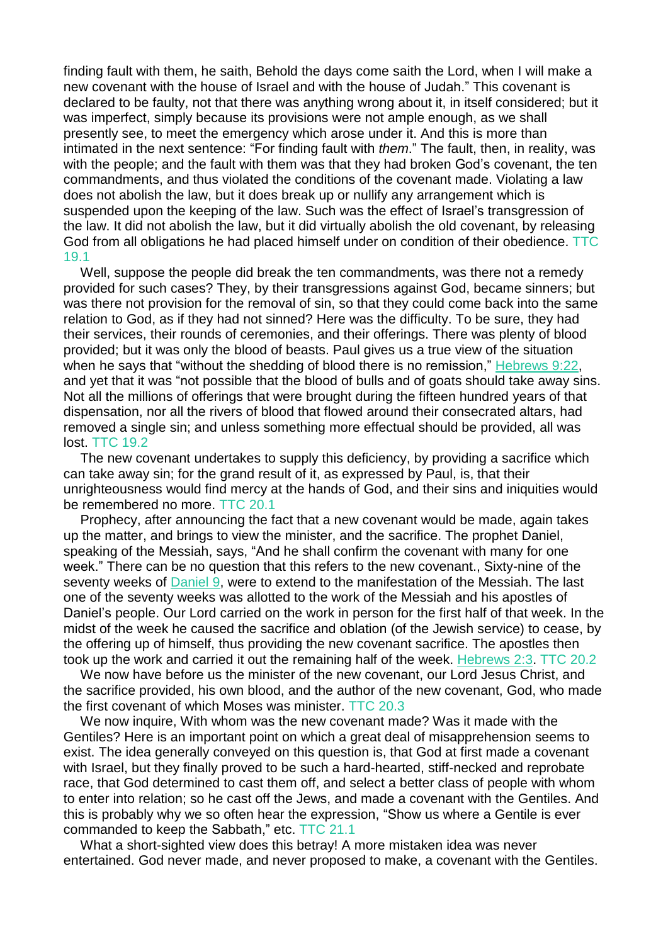finding fault with them, he saith, Behold the days come saith the Lord, when I will make a new covenant with the house of Israel and with the house of Judah." This covenant is declared to be faulty, not that there was anything wrong about it, in itself considered; but it was imperfect, simply because its provisions were not ample enough, as we shall presently see, to meet the emergency which arose under it. And this is more than intimated in the next sentence: "For finding fault with *them*." The fault, then, in reality, was with the people; and the fault with them was that they had broken God's covenant, the ten commandments, and thus violated the conditions of the covenant made. Violating a law does not abolish the law, but it does break up or nullify any arrangement which is suspended upon the keeping of the law. Such was the effect of Israel's transgression of the law. It did not abolish the law, but it did virtually abolish the old covenant, by releasing God from all obligations he had placed himself under on condition of their obedience. TTC 19.1

Well, suppose the people did break the ten commandments, was there not a remedy provided for such cases? They, by their transgressions against God, became sinners; but was there not provision for the removal of sin, so that they could come back into the same relation to God, as if they had not sinned? Here was the difficulty. To be sure, they had their services, their rounds of ceremonies, and their offerings. There was plenty of blood provided; but it was only the blood of beasts. Paul gives us a true view of the situation when he says that "without the shedding of blood there is no remission," [Hebrews](https://m.egwwritings.org/en/book/1965.61457#61457) 9:22, and yet that it was "not possible that the blood of bulls and of goats should take away sins. Not all the millions of offerings that were brought during the fifteen hundred years of that dispensation, nor all the rivers of blood that flowed around their consecrated altars, had removed a single sin; and unless something more effectual should be provided, all was lost. TTC 19.2

The new covenant undertakes to supply this deficiency, by providing a sacrifice which can take away sin; for the grand result of it, as expressed by Paul, is, that their unrighteousness would find mercy at the hands of God, and their sins and iniquities would be remembered no more. TTC 20.1

Prophecy, after announcing the fact that a new covenant would be made, again takes up the matter, and brings to view the minister, and the sacrifice. The prophet Daniel, speaking of the Messiah, says, "And he shall confirm the covenant with many for one week." There can be no question that this refers to the new covenant., Sixty-nine of the seventy weeks of [Daniel](https://m.egwwritings.org/en/book/1965.44867#44867) 9, were to extend to the manifestation of the Messiah. The last one of the seventy weeks was allotted to the work of the Messiah and his apostles of Daniel's people. Our Lord carried on the work in person for the first half of that week. In the midst of the week he caused the sacrifice and oblation (of the Jewish service) to cease, by the offering up of himself, thus providing the new covenant sacrifice. The apostles then took up the work and carried it out the remaining half of the week. [Hebrews](https://m.egwwritings.org/en/book/1965.61156#61156) 2:3. TTC 20.2

We now have before us the minister of the new covenant, our Lord Jesus Christ, and the sacrifice provided, his own blood, and the author of the new covenant, God, who made the first covenant of which Moses was minister. TTC 20.3

We now inquire, With whom was the new covenant made? Was it made with the Gentiles? Here is an important point on which a great deal of misapprehension seems to exist. The idea generally conveyed on this question is, that God at first made a covenant with Israel, but they finally proved to be such a hard-hearted, stiff-necked and reprobate race, that God determined to cast them off, and select a better class of people with whom to enter into relation; so he cast off the Jews, and made a covenant with the Gentiles. And this is probably why we so often hear the expression, "Show us where a Gentile is ever commanded to keep the Sabbath," etc. TTC 21.1

What a short-sighted view does this betray! A more mistaken idea was never entertained. God never made, and never proposed to make, a covenant with the Gentiles.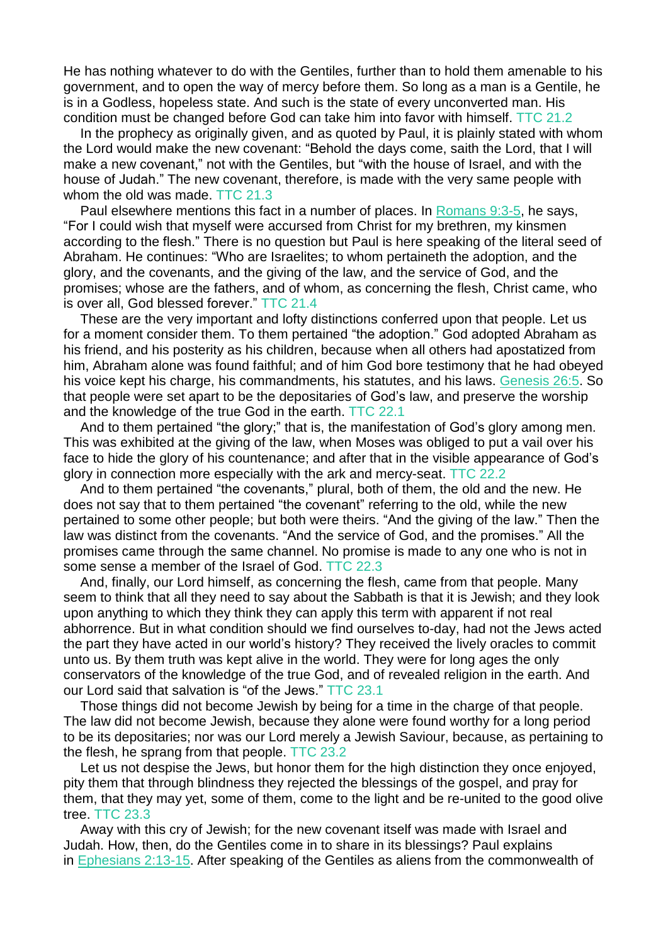He has nothing whatever to do with the Gentiles, further than to hold them amenable to his government, and to open the way of mercy before them. So long as a man is a Gentile, he is in a Godless, hopeless state. And such is the state of every unconverted man. His condition must be changed before God can take him into favor with himself. TTC 21.2

In the prophecy as originally given, and as quoted by Paul, it is plainly stated with whom the Lord would make the new covenant: "Behold the days come, saith the Lord, that I will make a new covenant," not with the Gentiles, but "with the house of Israel, and with the house of Judah." The new covenant, therefore, is made with the very same people with whom the old was made. TTC 21.3

Paul elsewhere mentions this fact in a number of places. In [Romans](https://m.egwwritings.org/en/book/1965.57419#57419) 9:3-5, he says, "For I could wish that myself were accursed from Christ for my brethren, my kinsmen according to the flesh." There is no question but Paul is here speaking of the literal seed of Abraham. He continues: "Who are Israelites; to whom pertaineth the adoption, and the glory, and the covenants, and the giving of the law, and the service of God, and the promises; whose are the fathers, and of whom, as concerning the flesh, Christ came, who is over all, God blessed forever." TTC 21.4

These are the very important and lofty distinctions conferred upon that people. Let us for a moment consider them. To them pertained "the adoption." God adopted Abraham as his friend, and his posterity as his children, because when all others had apostatized from him, Abraham alone was found faithful; and of him God bore testimony that he had obeyed his voice kept his charge, his commandments, his statutes, and his laws. [Genesis](https://m.egwwritings.org/en/book/1965.1424#1424) 26:5. So that people were set apart to be the depositaries of God's law, and preserve the worship and the knowledge of the true God in the earth. TTC 22.1

And to them pertained "the glory;" that is, the manifestation of God's glory among men. This was exhibited at the giving of the law, when Moses was obliged to put a vail over his face to hide the glory of his countenance; and after that in the visible appearance of God's glory in connection more especially with the ark and mercy-seat. TTC 22.2

And to them pertained "the covenants," plural, both of them, the old and the new. He does not say that to them pertained "the covenant" referring to the old, while the new pertained to some other people; but both were theirs. "And the giving of the law." Then the law was distinct from the covenants. "And the service of God, and the promises." All the promises came through the same channel. No promise is made to any one who is not in some sense a member of the Israel of God. TTC 22.3

And, finally, our Lord himself, as concerning the flesh, came from that people. Many seem to think that all they need to say about the Sabbath is that it is Jewish; and they look upon anything to which they think they can apply this term with apparent if not real abhorrence. But in what condition should we find ourselves to-day, had not the Jews acted the part they have acted in our world's history? They received the lively oracles to commit unto us. By them truth was kept alive in the world. They were for long ages the only conservators of the knowledge of the true God, and of revealed religion in the earth. And our Lord said that salvation is "of the Jews." TTC 23.1

Those things did not become Jewish by being for a time in the charge of that people. The law did not become Jewish, because they alone were found worthy for a long period to be its depositaries; nor was our Lord merely a Jewish Saviour, because, as pertaining to the flesh, he sprang from that people. TTC 23.2

Let us not despise the Jews, but honor them for the high distinction they once enjoyed, pity them that through blindness they rejected the blessings of the gospel, and pray for them, that they may yet, some of them, come to the light and be re-united to the good olive tree. TTC 23.3

Away with this cry of Jewish; for the new covenant itself was made with Israel and Judah. How, then, do the Gentiles come in to share in its blessings? Paul explains in [Ephesians](https://m.egwwritings.org/en/book/1965.59635#59635) 2:13-15. After speaking of the Gentiles as aliens from the commonwealth of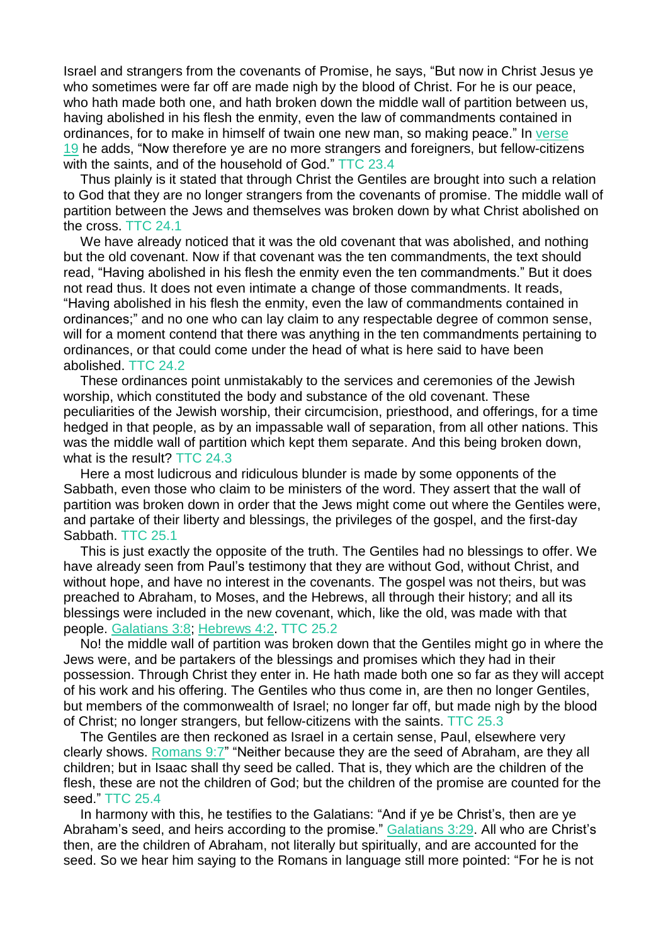Israel and strangers from the covenants of Promise, he says, "But now in Christ Jesus ye who sometimes were far off are made nigh by the blood of Christ. For he is our peace, who hath made both one, and hath broken down the middle wall of partition between us, having abolished in his flesh the enmity, even the law of commandments contained in ordinances, for to make in himself of twain one new man, so making peace." In [verse](https://m.egwwritings.org/en/book/1965.59647#59647) [19](https://m.egwwritings.org/en/book/1965.59647#59647) he adds, "Now therefore ye are no more strangers and foreigners, but fellow-citizens with the saints, and of the household of God." TTC 23.4

Thus plainly is it stated that through Christ the Gentiles are brought into such a relation to God that they are no longer strangers from the covenants of promise. The middle wall of partition between the Jews and themselves was broken down by what Christ abolished on the cross. TTC 24.1

We have already noticed that it was the old covenant that was abolished, and nothing but the old covenant. Now if that covenant was the ten commandments, the text should read, "Having abolished in his flesh the enmity even the ten commandments." But it does not read thus. It does not even intimate a change of those commandments. It reads, "Having abolished in his flesh the enmity, even the law of commandments contained in ordinances;" and no one who can lay claim to any respectable degree of common sense, will for a moment contend that there was anything in the ten commandments pertaining to ordinances, or that could come under the head of what is here said to have been abolished. TTC 24.2

These ordinances point unmistakably to the services and ceremonies of the Jewish worship, which constituted the body and substance of the old covenant. These peculiarities of the Jewish worship, their circumcision, priesthood, and offerings, for a time hedged in that people, as by an impassable wall of separation, from all other nations. This was the middle wall of partition which kept them separate. And this being broken down, what is the result? TTC 24.3

Here a most ludicrous and ridiculous blunder is made by some opponents of the Sabbath, even those who claim to be ministers of the word. They assert that the wall of partition was broken down in order that the Jews might come out where the Gentiles were, and partake of their liberty and blessings, the privileges of the gospel, and the first-day Sabbath. TTC 25.1

This is just exactly the opposite of the truth. The Gentiles had no blessings to offer. We have already seen from Paul's testimony that they are without God, without Christ, and without hope, and have no interest in the covenants. The gospel was not theirs, but was preached to Abraham, to Moses, and the Hebrews, all through their history; and all its blessings were included in the new covenant, which, like the old, was made with that people. [Galatians](https://m.egwwritings.org/en/book/1965.59365#59365) 3:8; [Hebrews](https://m.egwwritings.org/en/book/1965.61230#61230) 4:2. TTC 25.2

No! the middle wall of partition was broken down that the Gentiles might go in where the Jews were, and be partakers of the blessings and promises which they had in their possession. Through Christ they enter in. He hath made both one so far as they will accept of his work and his offering. The Gentiles who thus come in, are then no longer Gentiles, but members of the commonwealth of Israel; no longer far off, but made nigh by the blood of Christ; no longer strangers, but fellow-citizens with the saints. TTC 25.3

The Gentiles are then reckoned as Israel in a certain sense, Paul, elsewhere very clearly shows. [Romans](https://m.egwwritings.org/en/book/1965.57427#57427) 9:7" "Neither because they are the seed of Abraham, are they all children; but in Isaac shall thy seed be called. That is, they which are the children of the flesh, these are not the children of God; but the children of the promise are counted for the seed." TTC 25.4

In harmony with this, he testifies to the Galatians: "And if ye be Christ's, then are ye Abraham's seed, and heirs according to the promise." [Galatians](https://m.egwwritings.org/en/book/1965.59407#59407) 3:29. All who are Christ's then, are the children of Abraham, not literally but spiritually, and are accounted for the seed. So we hear him saying to the Romans in language still more pointed: "For he is not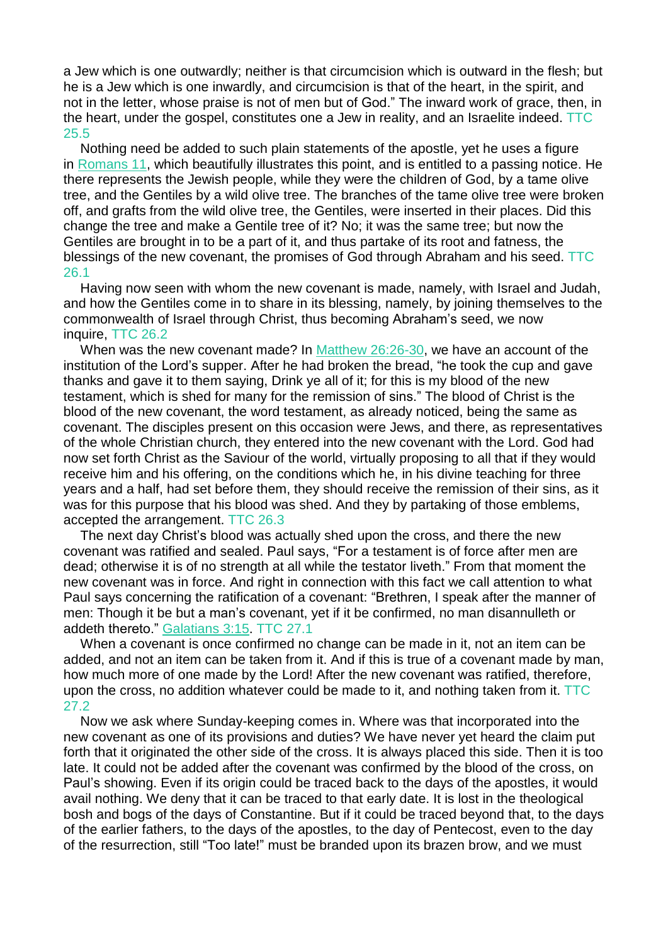a Jew which is one outwardly; neither is that circumcision which is outward in the flesh; but he is a Jew which is one inwardly, and circumcision is that of the heart, in the spirit, and not in the letter, whose praise is not of men but of God." The inward work of grace, then, in the heart, under the gospel, constitutes one a Jew in reality, and an Israelite indeed. TTC 25.5

Nothing need be added to such plain statements of the apostle, yet he uses a figure in [Romans](https://m.egwwritings.org/en/book/1965.57525#57525) 11, which beautifully illustrates this point, and is entitled to a passing notice. He there represents the Jewish people, while they were the children of God, by a tame olive tree, and the Gentiles by a wild olive tree. The branches of the tame olive tree were broken off, and grafts from the wild olive tree, the Gentiles, were inserted in their places. Did this change the tree and make a Gentile tree of it? No; it was the same tree; but now the Gentiles are brought in to be a part of it, and thus partake of its root and fatness, the blessings of the new covenant, the promises of God through Abraham and his seed. TTC 26.1

Having now seen with whom the new covenant is made, namely, with Israel and Judah, and how the Gentiles come in to share in its blessing, namely, by joining themselves to the commonwealth of Israel through Christ, thus becoming Abraham's seed, we now inquire, TTC 26.2

When was the new covenant made? In Matthew [26:26-30,](https://m.egwwritings.org/en/book/1965.49158#49158) we have an account of the institution of the Lord's supper. After he had broken the bread, "he took the cup and gave thanks and gave it to them saying, Drink ye all of it; for this is my blood of the new testament, which is shed for many for the remission of sins." The blood of Christ is the blood of the new covenant, the word testament, as already noticed, being the same as covenant. The disciples present on this occasion were Jews, and there, as representatives of the whole Christian church, they entered into the new covenant with the Lord. God had now set forth Christ as the Saviour of the world, virtually proposing to all that if they would receive him and his offering, on the conditions which he, in his divine teaching for three years and a half, had set before them, they should receive the remission of their sins, as it was for this purpose that his blood was shed. And they by partaking of those emblems, accepted the arrangement. TTC 26.3

The next day Christ's blood was actually shed upon the cross, and there the new covenant was ratified and sealed. Paul says, "For a testament is of force after men are dead; otherwise it is of no strength at all while the testator liveth." From that moment the new covenant was in force. And right in connection with this fact we call attention to what Paul says concerning the ratification of a covenant: "Brethren, I speak after the manner of men: Though it be but a man's covenant, yet if it be confirmed, no man disannulleth or addeth thereto." [Galatians](https://m.egwwritings.org/en/book/1965.59379#59379) 3:15. TTC 27.1

When a covenant is once confirmed no change can be made in it, not an item can be added, and not an item can be taken from it. And if this is true of a covenant made by man, how much more of one made by the Lord! After the new covenant was ratified, therefore, upon the cross, no addition whatever could be made to it, and nothing taken from it. TTC 27.2

Now we ask where Sunday-keeping comes in. Where was that incorporated into the new covenant as one of its provisions and duties? We have never yet heard the claim put forth that it originated the other side of the cross. It is always placed this side. Then it is too late. It could not be added after the covenant was confirmed by the blood of the cross, on Paul's showing. Even if its origin could be traced back to the days of the apostles, it would avail nothing. We deny that it can be traced to that early date. It is lost in the theological bosh and bogs of the days of Constantine. But if it could be traced beyond that, to the days of the earlier fathers, to the days of the apostles, to the day of Pentecost, even to the day of the resurrection, still "Too late!" must be branded upon its brazen brow, and we must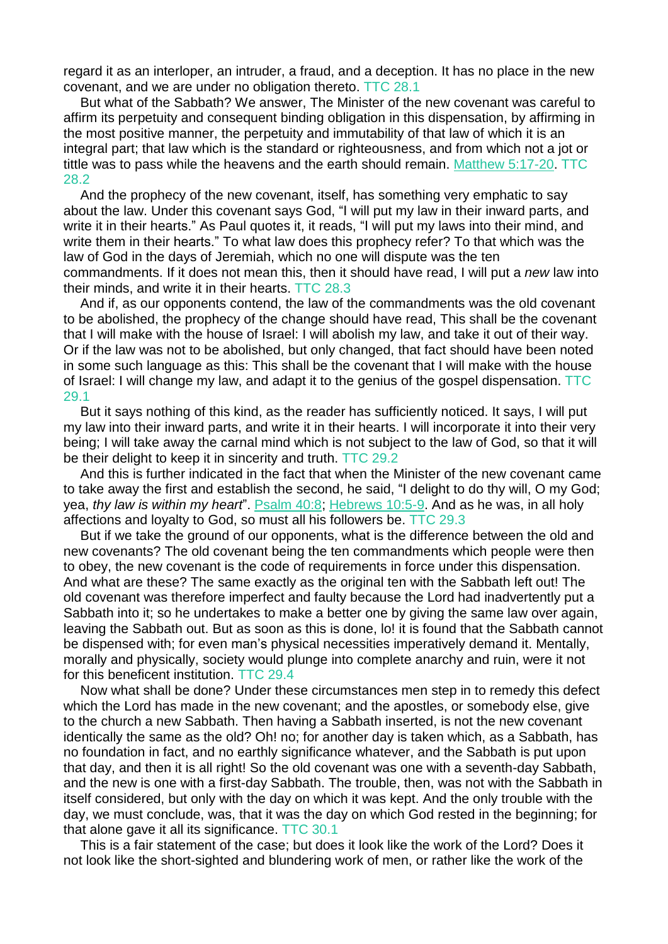regard it as an interloper, an intruder, a fraud, and a deception. It has no place in the new covenant, and we are under no obligation thereto. TTC 28.1

But what of the Sabbath? We answer, The Minister of the new covenant was careful to affirm its perpetuity and consequent binding obligation in this dispensation, by affirming in the most positive manner, the perpetuity and immutability of that law of which it is an integral part; that law which is the standard or righteousness, and from which not a jot or tittle was to pass while the heavens and the earth should remain. [Matthew](https://m.egwwritings.org/en/book/1965.47479#47479) 5:17-20. TTC 28.2

And the prophecy of the new covenant, itself, has something very emphatic to say about the law. Under this covenant says God, "I will put my law in their inward parts, and write it in their hearts." As Paul quotes it, it reads, "I will put my laws into their mind, and write them in their hearts." To what law does this prophecy refer? To that which was the law of God in the days of Jeremiah, which no one will dispute was the ten commandments. If it does not mean this, then it should have read, I will put a *new* law into their minds, and write it in their hearts. TTC 28.3

And if, as our opponents contend, the law of the commandments was the old covenant to be abolished, the prophecy of the change should have read, This shall be the covenant that I will make with the house of Israel: I will abolish my law, and take it out of their way. Or if the law was not to be abolished, but only changed, that fact should have been noted in some such language as this: This shall be the covenant that I will make with the house of Israel: I will change my law, and adapt it to the genius of the gospel dispensation. TTC 29.1

But it says nothing of this kind, as the reader has sufficiently noticed. It says, I will put my law into their inward parts, and write it in their hearts. I will incorporate it into their very being; I will take away the carnal mind which is not subject to the law of God, so that it will be their delight to keep it in sincerity and truth. TTC 29.2

And this is further indicated in the fact that when the Minister of the new covenant came to take away the first and establish the second, he said, "I delight to do thy will, O my God; yea, *thy law is within my heart*". [Psalm](https://m.egwwritings.org/en/book/1965.29606#29606) 40:8; [Hebrews](https://m.egwwritings.org/en/book/1965.61480#61480) 10:5-9. And as he was, in all holy affections and loyalty to God, so must all his followers be. TTC 29.3

But if we take the ground of our opponents, what is the difference between the old and new covenants? The old covenant being the ten commandments which people were then to obey, the new covenant is the code of requirements in force under this dispensation. And what are these? The same exactly as the original ten with the Sabbath left out! The old covenant was therefore imperfect and faulty because the Lord had inadvertently put a Sabbath into it; so he undertakes to make a better one by giving the same law over again, leaving the Sabbath out. But as soon as this is done, lo! it is found that the Sabbath cannot be dispensed with; for even man's physical necessities imperatively demand it. Mentally, morally and physically, society would plunge into complete anarchy and ruin, were it not for this beneficent institution. TTC 29.4

Now what shall be done? Under these circumstances men step in to remedy this defect which the Lord has made in the new covenant; and the apostles, or somebody else, give to the church a new Sabbath. Then having a Sabbath inserted, is not the new covenant identically the same as the old? Oh! no; for another day is taken which, as a Sabbath, has no foundation in fact, and no earthly significance whatever, and the Sabbath is put upon that day, and then it is all right! So the old covenant was one with a seventh-day Sabbath, and the new is one with a first-day Sabbath. The trouble, then, was not with the Sabbath in itself considered, but only with the day on which it was kept. And the only trouble with the day, we must conclude, was, that it was the day on which God rested in the beginning; for that alone gave it all its significance. TTC 30.1

This is a fair statement of the case; but does it look like the work of the Lord? Does it not look like the short-sighted and blundering work of men, or rather like the work of the